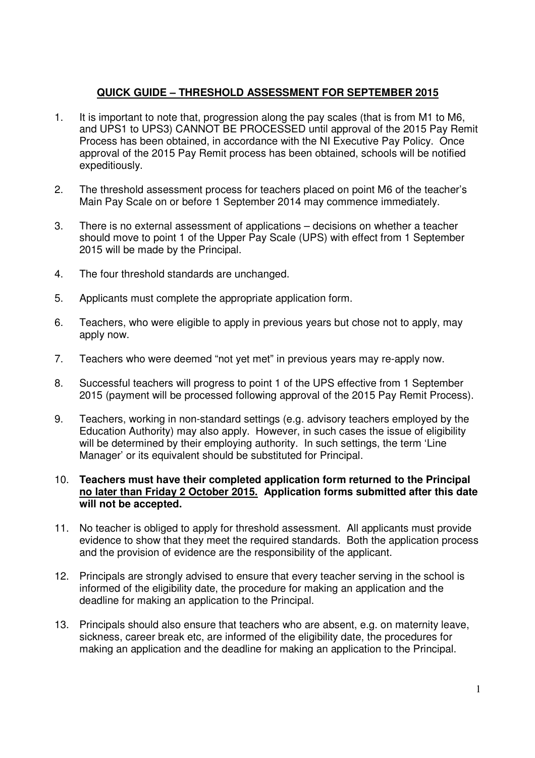## **QUICK GUIDE – THRESHOLD ASSESSMENT FOR SEPTEMBER 2015**

- $1<sub>1</sub>$  and UPS1 to UPS3) CANNOT BE PROCESSED until approval of the 2015 Pay Remit Process has been obtained, in accordance with the NI Executive Pay Policy. Once approval of the 2015 Pay Remit process has been obtained, schools will be notified It is important to note that, progression along the pay scales (that is from M1 to M6, expeditiously.
- $2.$  Main Pay Scale on or before 1 September 2014 may commence immediately. The threshold assessment process for teachers placed on point M6 of the teacher's
- 3. should move to point 1 of the Upper Pay Scale (UPS) with effect from 1 September 2015 will be made by the Principal. There is no external assessment of applications – decisions on whether a teacher
- $4.$ The four threshold standards are unchanged.
- 5. Applicants must complete the appropriate application form.
- 6. Teachers, who were eligible to apply in previous years but chose not to apply, may apply now.
- 7. Teachers who were deemed "not yet met" in previous years may re-apply now.
- 8. Successful teachers will progress to point 1 of the UPS effective from 1 September 2015 (payment will be processed following approval of the 2015 Pay Remit Process).
- 9. Teachers, working in non-standard settings (e.g. advisory teachers employed by the Education Authority) may also apply. However, in such cases the issue of eligibility will be determined by their employing authority. In such settings, the term 'Line Manager' or its equivalent should be substituted for Principal.

## 10. **Teachers must have their completed application form returned to the Principal no later than Friday 2 October 2015. Application forms submitted after this date will not be accepted.**

- 11. No teacher is obliged to apply for threshold assessment. All applicants must provide evidence to show that they meet the required standards. Both the application process and the provision of evidence are the responsibility of the applicant.
- 12. Principals are strongly advised to ensure that every teacher serving in the school is informed of the eligibility date, the procedure for making an application and the deadline for making an application to the Principal.
- 13. Principals should also ensure that teachers who are absent, e.g. on maternity leave, sickness, career break etc, are informed of the eligibility date, the procedures for making an application and the deadline for making an application to the Principal.